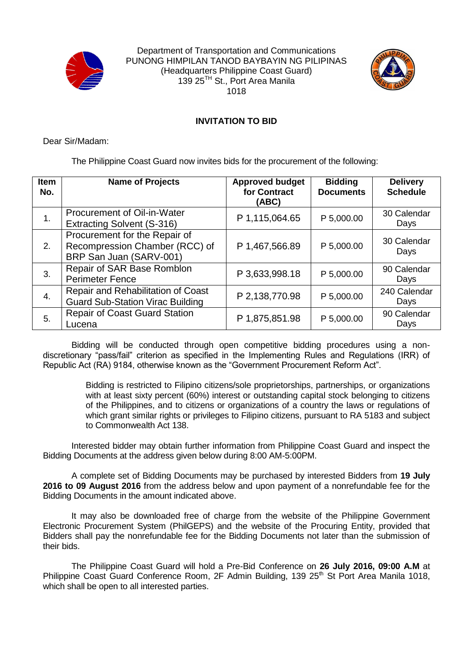

Department of Transportation and Communications PUNONG HIMPILAN TANOD BAYBAYIN NG PILIPINAS (Headquarters Philippine Coast Guard) 139 25TH St., Port Area Manila 1018



## **INVITATION TO BID**

Dear Sir/Madam:

The Philippine Coast Guard now invites bids for the procurement of the following:

| <b>Item</b><br>No. | <b>Name of Projects</b>                                                                    | <b>Approved budget</b><br>for Contract<br>(ABC) | <b>Bidding</b><br><b>Documents</b> | <b>Delivery</b><br><b>Schedule</b> |
|--------------------|--------------------------------------------------------------------------------------------|-------------------------------------------------|------------------------------------|------------------------------------|
| 1.                 | Procurement of Oil-in-Water<br>Extracting Solvent (S-316)                                  | P 1,115,064.65                                  | P 5,000.00                         | 30 Calendar<br>Days                |
| 2.                 | Procurement for the Repair of<br>Recompression Chamber (RCC) of<br>BRP San Juan (SARV-001) | P 1,467,566.89                                  | P 5,000.00                         | 30 Calendar<br>Days                |
| 3.                 | Repair of SAR Base Romblon<br><b>Perimeter Fence</b>                                       | P 3,633,998.18                                  | P 5,000.00                         | 90 Calendar<br>Days                |
| 4.                 | Repair and Rehabilitation of Coast<br><b>Guard Sub-Station Virac Building</b>              | P 2,138,770.98                                  | P 5,000.00                         | 240 Calendar<br>Days               |
| 5.                 | <b>Repair of Coast Guard Station</b><br>Lucena                                             | P 1,875,851.98                                  | P 5,000.00                         | 90 Calendar<br>Days                |

Bidding will be conducted through open competitive bidding procedures using a nondiscretionary "pass/fail" criterion as specified in the Implementing Rules and Regulations (IRR) of Republic Act (RA) 9184, otherwise known as the "Government Procurement Reform Act".

> Bidding is restricted to Filipino citizens/sole proprietorships, partnerships, or organizations with at least sixty percent (60%) interest or outstanding capital stock belonging to citizens of the Philippines, and to citizens or organizations of a country the laws or regulations of which grant similar rights or privileges to Filipino citizens, pursuant to RA 5183 and subject to Commonwealth Act 138.

Interested bidder may obtain further information from Philippine Coast Guard and inspect the Bidding Documents at the address given below during 8:00 AM-5:00PM.

A complete set of Bidding Documents may be purchased by interested Bidders from **19 July 2016 to 09 August 2016** from the address below and upon payment of a nonrefundable fee for the Bidding Documents in the amount indicated above.

It may also be downloaded free of charge from the website of the Philippine Government Electronic Procurement System (PhilGEPS) and the website of the Procuring Entity, provided that Bidders shall pay the nonrefundable fee for the Bidding Documents not later than the submission of their bids.

The Philippine Coast Guard will hold a Pre-Bid Conference on **26 July 2016, 09:00 A.M** at Philippine Coast Guard Conference Room, 2F Admin Building, 139 25<sup>th</sup> St Port Area Manila 1018. which shall be open to all interested parties.